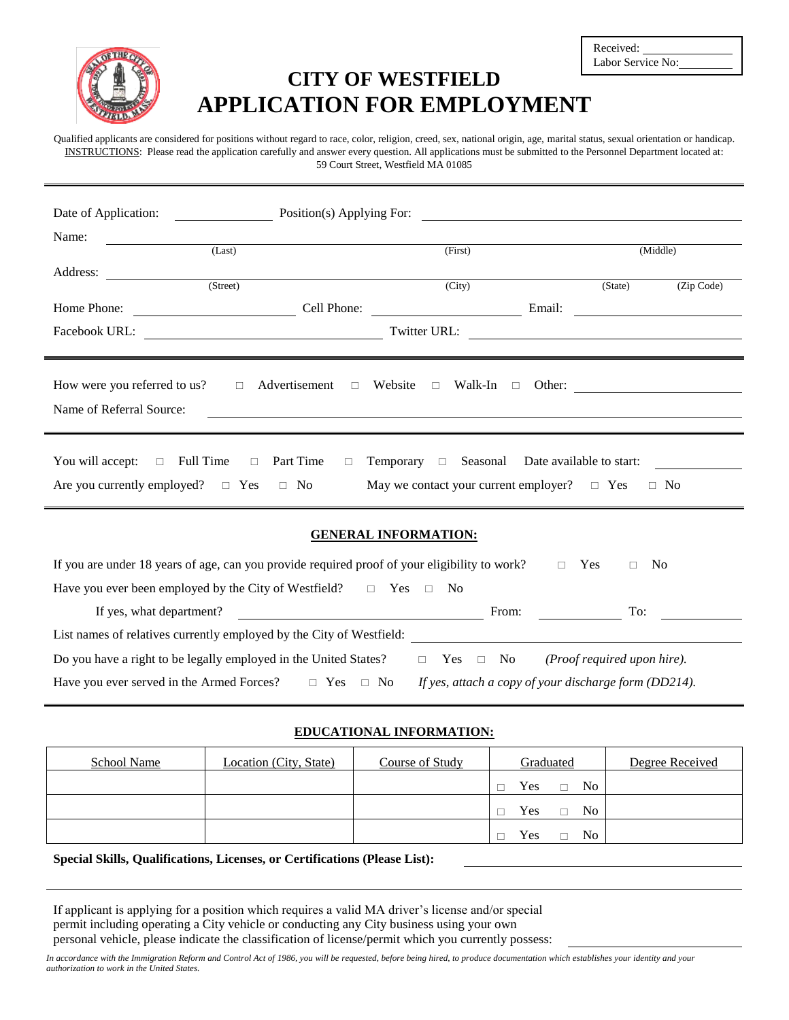

# **CITY OF WESTFIELD APPLICATION FOR EMPLOYMENT**

| Received:         |  |
|-------------------|--|
| Labor Service No: |  |

Qualified applicants are considered for positions without regard to race, color, religion, creed, sex, national origin, age, marital status, sexual orientation or handicap. INSTRUCTIONS: Please read the application carefully and answer every question. All applications must be submitted to the Personnel Department located at: 59 Court Street, Westfield MA 01085

| (Zip Code)                                                                                                      |
|-----------------------------------------------------------------------------------------------------------------|
|                                                                                                                 |
| the contract of the contract of the contract of the contract of the contract of the contract of the contract of |
|                                                                                                                 |
|                                                                                                                 |
|                                                                                                                 |
|                                                                                                                 |
|                                                                                                                 |
|                                                                                                                 |
|                                                                                                                 |

#### **GENERAL INFORMATION:**

| If you are under 18 years of age, can you provide required proof of your eligibility to work? | Yes                                                   | N <sub>0</sub> |  |
|-----------------------------------------------------------------------------------------------|-------------------------------------------------------|----------------|--|
| Have you ever been employed by the City of Westfield?<br>Yes.                                 | N <sub>0</sub>                                        |                |  |
| If yes, what department?                                                                      | From:                                                 | To:            |  |
| List names of relatives currently employed by the City of Westfield:                          |                                                       |                |  |
| Do you have a right to be legally employed in the United States?                              | (Proof required upon hire).<br>Yes $\Box$ No          |                |  |
| Have you ever served in the Armed Forces?<br>$\Box$ No<br>$\Box$ Yes                          | If yes, attach a copy of your discharge form (DD214). |                |  |

#### **EDUCATIONAL INFORMATION:**

| School Name | Location (City, State) | Course of Study | Graduated                       | Degree Received |
|-------------|------------------------|-----------------|---------------------------------|-----------------|
|             |                        |                 | N <sub>0</sub><br>Yes           |                 |
|             |                        |                 | N <sub>0</sub><br>Yes<br>$\Box$ |                 |
|             |                        |                 | N <sub>0</sub><br>Yes           |                 |

#### **Special Skills, Qualifications, Licenses, or Certifications (Please List):**

If applicant is applying for a position which requires a valid MA driver's license and/or special permit including operating a City vehicle or conducting any City business using your own personal vehicle, please indicate the classification of license/permit which you currently possess:

*In accordance with the Immigration Reform and Control Act of 1986, you will be requested, before being hired, to produce documentation which establishes your identity and your authorization to work in the United States.*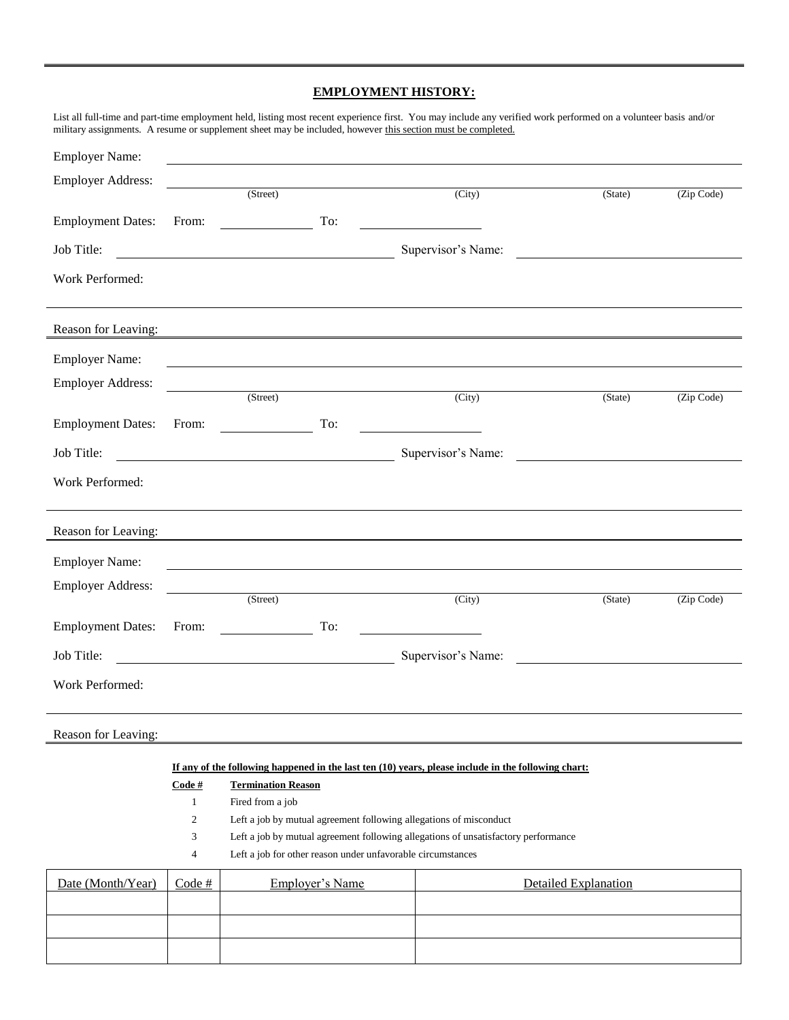### **EMPLOYMENT HISTORY:**

|                          |              |                              |          | List all full-time and part-time employment held, listing most recent experience first. You may include any verified work performed on a volunteer basis and/or<br>military assignments. A resume or supplement sheet may be included, however this section must be completed. |                                                                                                                      |            |
|--------------------------|--------------|------------------------------|----------|--------------------------------------------------------------------------------------------------------------------------------------------------------------------------------------------------------------------------------------------------------------------------------|----------------------------------------------------------------------------------------------------------------------|------------|
| <b>Employer Name:</b>    |              |                              |          |                                                                                                                                                                                                                                                                                |                                                                                                                      |            |
| <b>Employer Address:</b> |              |                              |          |                                                                                                                                                                                                                                                                                |                                                                                                                      |            |
|                          |              |                              |          | (Street)<br>(City)                                                                                                                                                                                                                                                             | (State)                                                                                                              | (Zip Code) |
| <b>Employment Dates:</b> | From:        |                              | To:      | <u> 1980 - John Barn Barn, mars and de la partie de la partie de la partie de la partie de la partie de la partie</u>                                                                                                                                                          |                                                                                                                      |            |
| Job Title:               |              |                              |          | Supervisor's Name:                                                                                                                                                                                                                                                             | <u> 1980 - Andrea Britain, politik eta politik eta politik eta politik eta politik eta politik eta politik eta p</u> |            |
| Work Performed:          |              |                              |          |                                                                                                                                                                                                                                                                                |                                                                                                                      |            |
| Reason for Leaving:      |              |                              |          | <u> 1980 - Jan Samuel Barbara, martin din shekarar 1980 - André a Samuel Barbara, mashrida a tsarar 1980 - André </u>                                                                                                                                                          |                                                                                                                      |            |
| <b>Employer Name:</b>    |              |                              |          |                                                                                                                                                                                                                                                                                |                                                                                                                      |            |
| <b>Employer Address:</b> |              |                              | (Street) |                                                                                                                                                                                                                                                                                |                                                                                                                      |            |
|                          |              |                              |          | (City)                                                                                                                                                                                                                                                                         | (State)                                                                                                              | (Zip Code) |
| <b>Employment Dates:</b> | From:        | $\overline{\phantom{a}}$ To: |          |                                                                                                                                                                                                                                                                                |                                                                                                                      |            |
| Job Title:               |              |                              |          | Supervisor's Name:                                                                                                                                                                                                                                                             | <u> 1989 - Andrea Andrew Maria (h. 1989).</u>                                                                        |            |
| Work Performed:          |              |                              |          |                                                                                                                                                                                                                                                                                |                                                                                                                      |            |
| Reason for Leaving:      |              |                              |          |                                                                                                                                                                                                                                                                                |                                                                                                                      |            |
| <b>Employer Name:</b>    |              |                              |          |                                                                                                                                                                                                                                                                                |                                                                                                                      |            |
| <b>Employer Address:</b> |              |                              |          |                                                                                                                                                                                                                                                                                |                                                                                                                      |            |
|                          |              | (Street)                     |          | (City)                                                                                                                                                                                                                                                                         | (State)                                                                                                              | (Zip Code) |
| <b>Employment Dates:</b> | From:        |                              | To:      |                                                                                                                                                                                                                                                                                |                                                                                                                      |            |
| Job Title:               |              |                              |          | Supervisor's Name:                                                                                                                                                                                                                                                             |                                                                                                                      |            |
| Work Performed:          |              |                              |          |                                                                                                                                                                                                                                                                                |                                                                                                                      |            |
| Reason for Leaving:      |              |                              |          |                                                                                                                                                                                                                                                                                |                                                                                                                      |            |
|                          |              |                              |          | If any of the following happened in the last ten $(10)$ years, please include in the following chart:                                                                                                                                                                          |                                                                                                                      |            |
|                          | Code#        | <b>Termination Reason</b>    |          |                                                                                                                                                                                                                                                                                |                                                                                                                      |            |
|                          | $\mathbf{1}$ | Fired from a job             |          | $+6.11$ orrin                                                                                                                                                                                                                                                                  |                                                                                                                      |            |

- 2 Left a job by mutual agreement following allegations of misconduct
- 3 Left a job by mutual agreement following allegations of unsatisfactory performance
- 4 Left a job for other reason under unfavorable circumstances

| Date (Month/Year) | Code # | <b>Employer's Name</b> | Detailed Explanation |
|-------------------|--------|------------------------|----------------------|
|                   |        |                        |                      |
|                   |        |                        |                      |
|                   |        |                        |                      |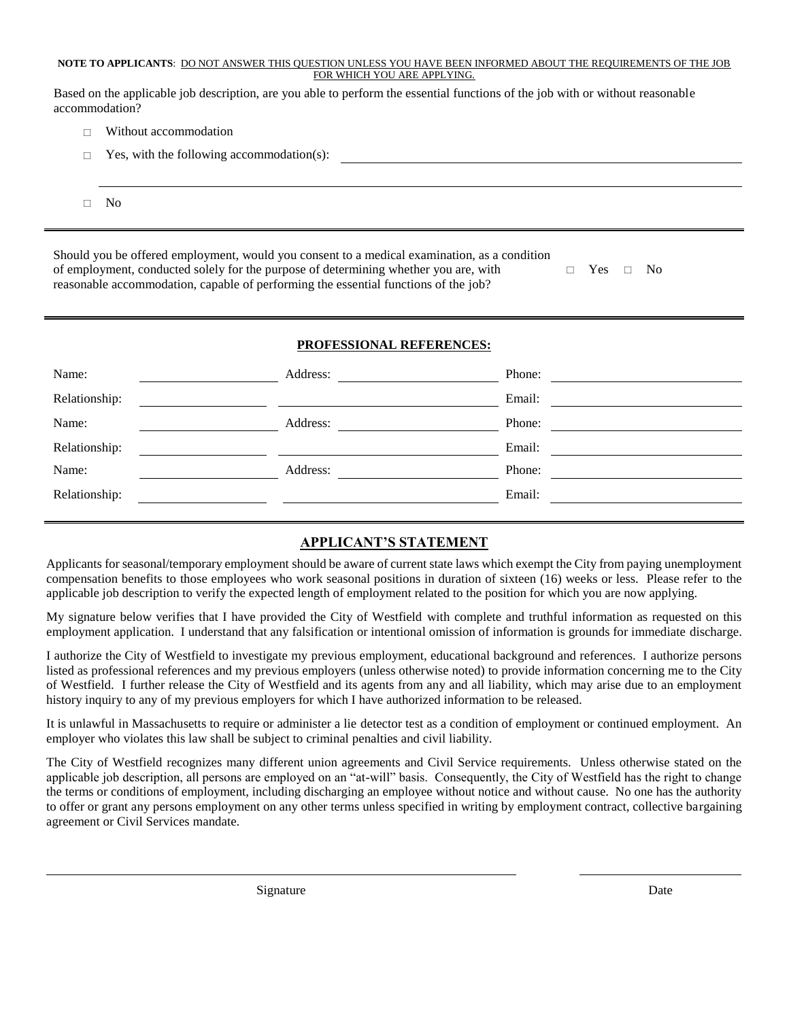#### **NOTE TO APPLICANTS**: DO NOT ANSWER THIS QUESTION UNLESS YOU HAVE BEEN INFORMED ABOUT THE REQUIREMENTS OF THE JOB FOR WHICH YOU ARE APPLYING.

Based on the applicable job description, are you able to perform the essential functions of the job with or without reasonable accommodation?

- $\Box$  Without accommodation
- Yes, with the following accommodation(s):
- $\square$  No

Should you be offered employment, would you consent to a medical examination, as a condition of employment, conducted solely for the purpose of determining whether you are, with reasonable accommodation, capable of performing the essential functions of the job? □ Yes □ No

#### **PROFESSIONAL REFERENCES:**

| Name:         | Address: | Phone: |
|---------------|----------|--------|
| Relationship: |          | Email: |
| Name:         | Address: | Phone: |
| Relationship: |          | Email: |
| Name:         | Address: | Phone: |
| Relationship: |          | Email: |
|               |          |        |

### **APPLICANT'S STATEMENT**

Applicants for seasonal/temporary employment should be aware of current state laws which exempt the City from paying unemployment compensation benefits to those employees who work seasonal positions in duration of sixteen (16) weeks or less. Please refer to the applicable job description to verify the expected length of employment related to the position for which you are now applying.

My signature below verifies that I have provided the City of Westfield with complete and truthful information as requested on this employment application. I understand that any falsification or intentional omission of information is grounds for immediate discharge.

I authorize the City of Westfield to investigate my previous employment, educational background and references. I authorize persons listed as professional references and my previous employers (unless otherwise noted) to provide information concerning me to the City of Westfield. I further release the City of Westfield and its agents from any and all liability, which may arise due to an employment history inquiry to any of my previous employers for which I have authorized information to be released.

It is unlawful in Massachusetts to require or administer a lie detector test as a condition of employment or continued employment. An employer who violates this law shall be subject to criminal penalties and civil liability.

The City of Westfield recognizes many different union agreements and Civil Service requirements. Unless otherwise stated on the applicable job description, all persons are employed on an "at-will" basis. Consequently, the City of Westfield has the right to change the terms or conditions of employment, including discharging an employee without notice and without cause. No one has the authority to offer or grant any persons employment on any other terms unless specified in writing by employment contract, collective bargaining agreement or Civil Services mandate.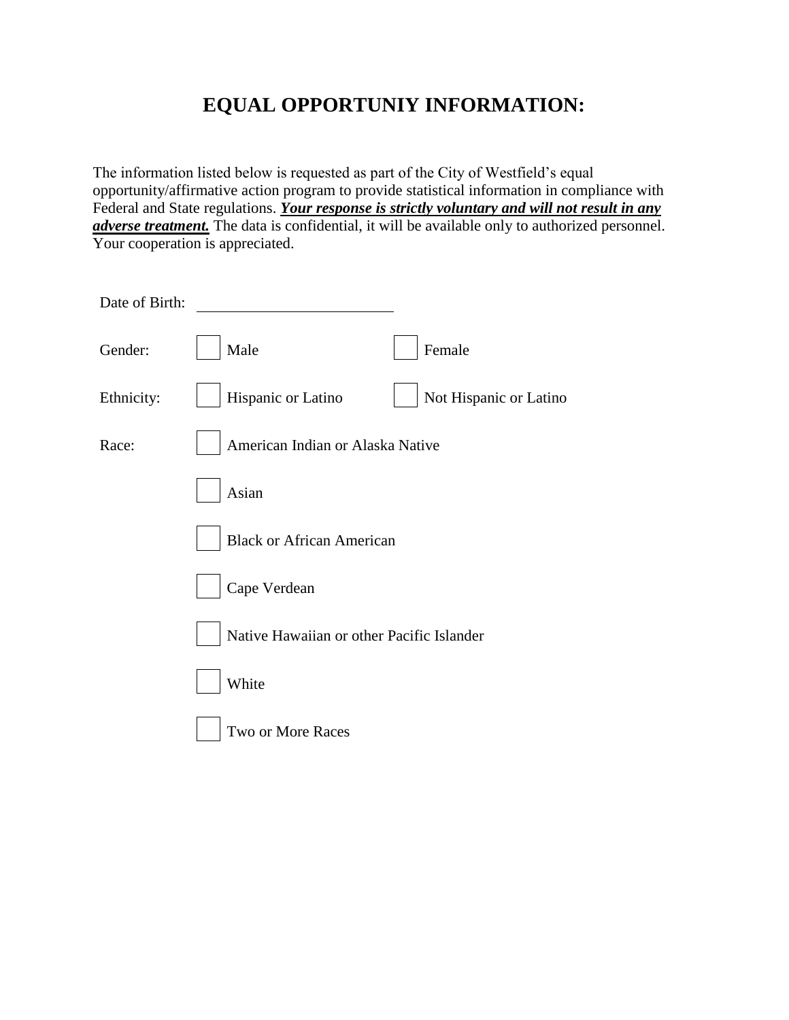# **EQUAL OPPORTUNIY INFORMATION:**

The information listed below is requested as part of the City of Westfield's equal opportunity/affirmative action program to provide statistical information in compliance with Federal and State regulations. *Your response is strictly voluntary and will not result in any adverse treatment*. The data is confidential, it will be available only to authorized personnel. Your cooperation is appreciated.

| Date of Birth: |                                              |
|----------------|----------------------------------------------|
| Gender:        | Female<br>Male                               |
| Ethnicity:     | Not Hispanic or Latino<br>Hispanic or Latino |
| Race:          | American Indian or Alaska Native             |
|                | Asian                                        |
|                | <b>Black or African American</b>             |
|                | Cape Verdean                                 |
|                | Native Hawaiian or other Pacific Islander    |
|                | White                                        |
|                | Two or More Races                            |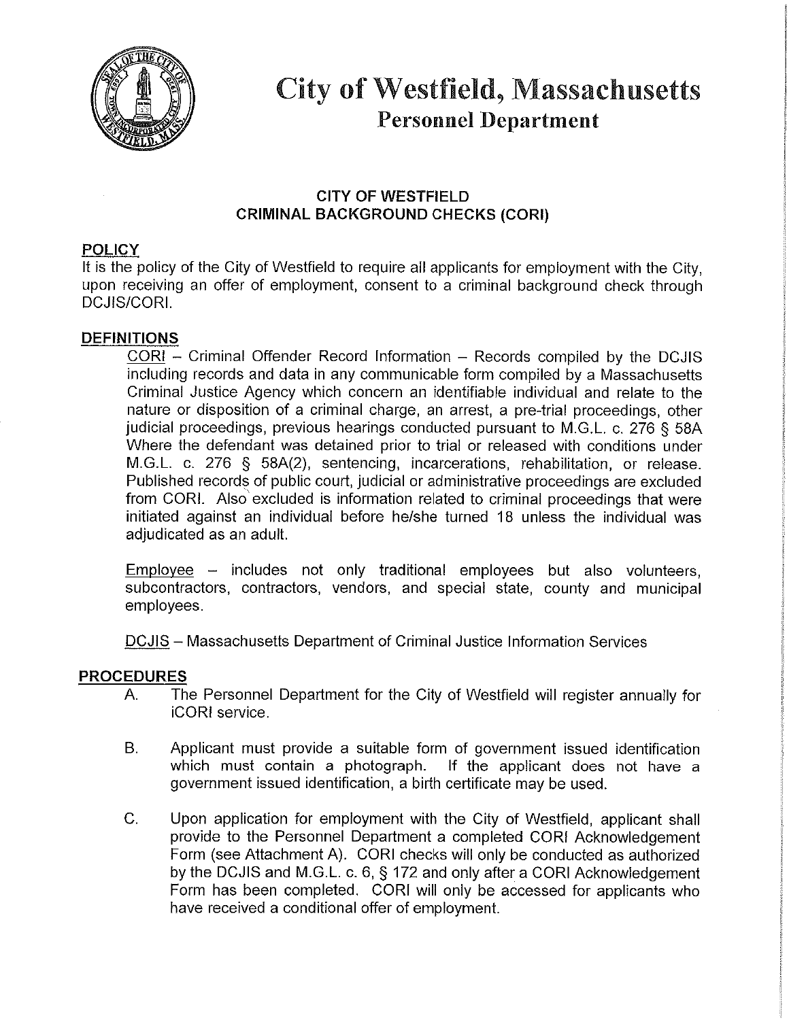

# **City of Westfield, Massachusetts Personnel Department**

# **CITY OF WESTFIELD CRIMINAL BACKGROUND CHECKS (CORI)**

# **POLICY**

It is the policy of the City of Westfield to require all applicants for employment with the City. upon receiving an offer of employment, consent to a criminal background check through **DCJIS/CORI.** 

# **DEFINITIONS**

CORI - Criminal Offender Record Information - Records compiled by the DCJIS including records and data in any communicable form compiled by a Massachusetts Criminal Justice Agency which concern an identifiable individual and relate to the nature or disposition of a criminal charge, an arrest, a pre-trial proceedings, other judicial proceedings, previous hearings conducted pursuant to M.G.L. c. 276 § 58A Where the defendant was detained prior to trial or released with conditions under M.G.L. c. 276 § 58A(2), sentencing, incarcerations, rehabilitation, or release. Published records of public court, judicial or administrative proceedings are excluded from CORI. Also excluded is information related to criminal proceedings that were initiated against an individual before he/she turned 18 unless the individual was adjudicated as an adult.

 $Emplovee -$  includes not only traditional employees but also volunteers. subcontractors, contractors, vendors, and special state, county and municipal employees.

DCJIS - Massachusetts Department of Criminal Justice Information Services

## **PROCEDURES**

- The Personnel Department for the City of Westfield will register annually for  $A_{\cdot}$ iCORI service.
- $B<sub>1</sub>$ Applicant must provide a suitable form of government issued identification which must contain a photograph. If the applicant does not have a government issued identification, a birth certificate may be used.
- Upon application for employment with the City of Westfield, applicant shall C. provide to the Personnel Department a completed CORI Acknowledgement Form (see Attachment A). CORI checks will only be conducted as authorized by the DCJIS and M.G.L. c. 6, § 172 and only after a CORI Acknowledgement Form has been completed. CORI will only be accessed for applicants who have received a conditional offer of employment.